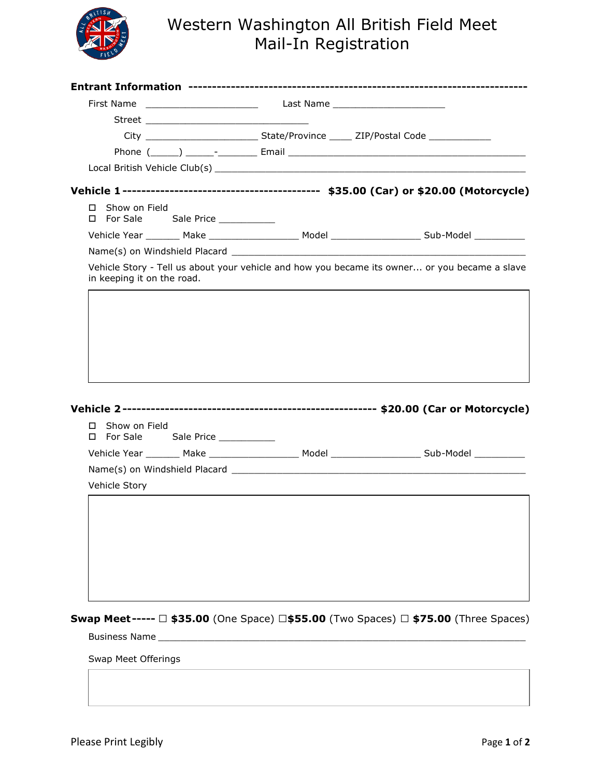

## Western Washington All British Field Meet Mail-In Registration

| Show on Field<br>П.<br>D For Sale Sale Price _________ |                                                                                                 |
|--------------------------------------------------------|-------------------------------------------------------------------------------------------------|
|                                                        | Vehicle Year ________ Make ___________________ Model ____________________ Sub-Model ___________ |
|                                                        |                                                                                                 |
| in keeping it on the road.                             | Vehicle Story - Tell us about your vehicle and how you became its owner or you became a slave   |
| Show on Field<br>П.<br>□ For Sale Sale Price _________ | Vehicle Year ________ Make ___________________ Model ___________________ Sub-Model ___________  |
|                                                        |                                                                                                 |
| Vehicle Story                                          |                                                                                                 |
|                                                        |                                                                                                 |
|                                                        | Swap Meet----- □ \$35.00 (One Space) □\$55.00 (Two Spaces) □ \$75.00 (Three Spaces)             |
| Swap Meet Offerings                                    |                                                                                                 |